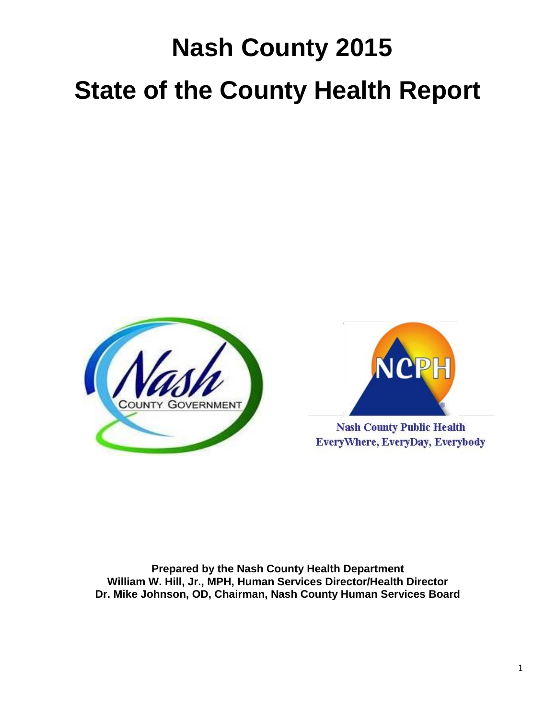# **Nash County 2015 State of the County Health Report**





**Nash County Public Health** EveryWhere, EveryDay, Everybody

**Prepared by the Nash County Health Department William W. Hill, Jr., MPH, Human Services Director/Health Director Dr. Mike Johnson, OD, Chairman, Nash County Human Services Board**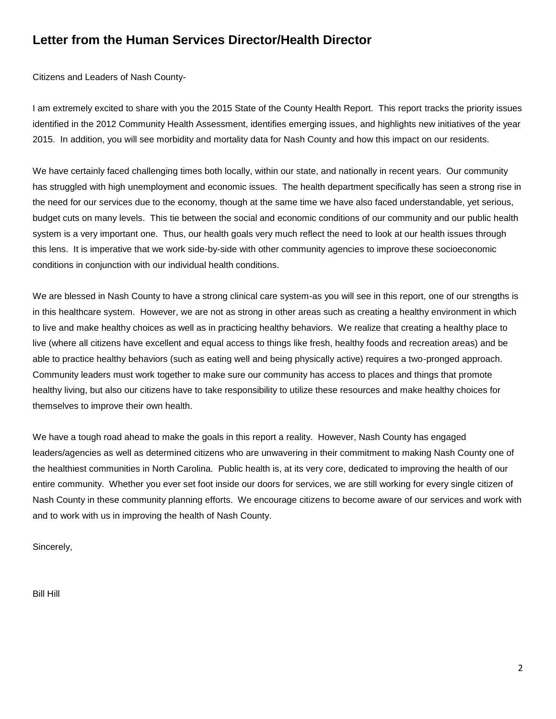## **Letter from the Human Services Director/Health Director**

Citizens and Leaders of Nash County-

I am extremely excited to share with you the 2015 State of the County Health Report. This report tracks the priority issues identified in the 2012 Community Health Assessment, identifies emerging issues, and highlights new initiatives of the year 2015. In addition, you will see morbidity and mortality data for Nash County and how this impact on our residents.

We have certainly faced challenging times both locally, within our state, and nationally in recent years. Our community has struggled with high unemployment and economic issues. The health department specifically has seen a strong rise in the need for our services due to the economy, though at the same time we have also faced understandable, yet serious, budget cuts on many levels. This tie between the social and economic conditions of our community and our public health system is a very important one. Thus, our health goals very much reflect the need to look at our health issues through this lens. It is imperative that we work side-by-side with other community agencies to improve these socioeconomic conditions in conjunction with our individual health conditions.

We are blessed in Nash County to have a strong clinical care system-as you will see in this report, one of our strengths is in this healthcare system. However, we are not as strong in other areas such as creating a healthy environment in which to live and make healthy choices as well as in practicing healthy behaviors. We realize that creating a healthy place to live (where all citizens have excellent and equal access to things like fresh, healthy foods and recreation areas) and be able to practice healthy behaviors (such as eating well and being physically active) requires a two-pronged approach. Community leaders must work together to make sure our community has access to places and things that promote healthy living, but also our citizens have to take responsibility to utilize these resources and make healthy choices for themselves to improve their own health.

We have a tough road ahead to make the goals in this report a reality. However, Nash County has engaged leaders/agencies as well as determined citizens who are unwavering in their commitment to making Nash County one of the healthiest communities in North Carolina. Public health is, at its very core, dedicated to improving the health of our entire community. Whether you ever set foot inside our doors for services, we are still working for every single citizen of Nash County in these community planning efforts. We encourage citizens to become aware of our services and work with and to work with us in improving the health of Nash County.

Sincerely,

Bill Hill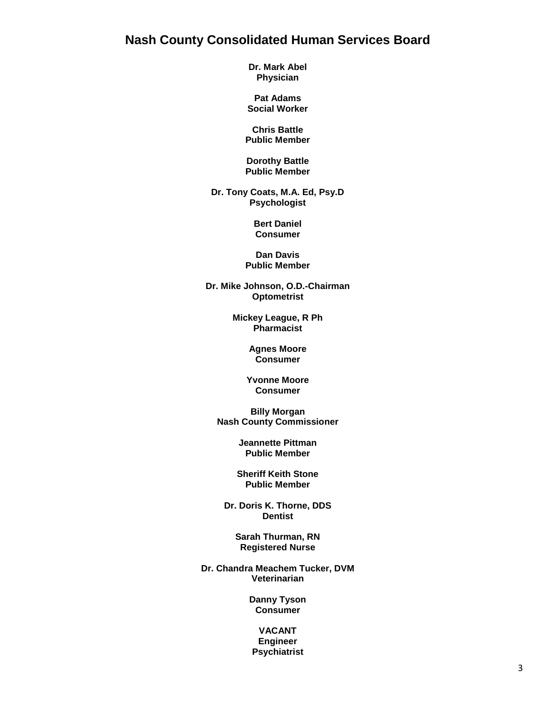## **Nash County Consolidated Human Services Board**

**Dr. Mark Abel Physician**

**Pat Adams Social Worker**

**Chris Battle Public Member**

**Dorothy Battle Public Member**

**Dr. Tony Coats, M.A. Ed, Psy.D Psychologist**

> **Bert Daniel Consumer**

**Dan Davis Public Member**

**Dr. Mike Johnson, O.D.-Chairman Optometrist**

> **Mickey League, R Ph Pharmacist**

> > **Agnes Moore Consumer**

**Yvonne Moore Consumer**

**Billy Morgan Nash County Commissioner**

> **Jeannette Pittman Public Member**

**Sheriff Keith Stone Public Member**

**Dr. Doris K. Thorne, DDS Dentist**

> **Sarah Thurman, RN Registered Nurse**

**Dr. Chandra Meachem Tucker, DVM Veterinarian**

> **Danny Tyson Consumer**

#### **VACANT Engineer Psychiatrist**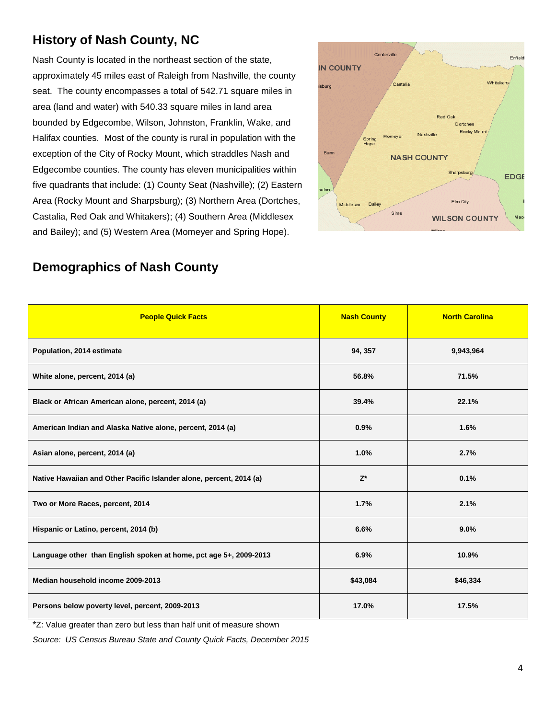# **History of Nash County, NC**

Nash County is located in the northeast section of the state, approximately 45 miles east of Raleigh from Nashville, the county seat. The county encompasses a total of 542.71 square miles in area (land and water) with 540.33 square miles in land area bounded by Edgecombe, Wilson, Johnston, Franklin, Wake, and Halifax counties.Most of the county is rural in population with the exception of the City of Rocky Mount, which straddles Nash and Edgecombe counties. The county has eleven municipalities within five quadrants that include: (1) County Seat (Nashville); (2) Eastern Area (Rocky Mount and Sharpsburg); (3) Northern Area (Dortches, Castalia, Red Oak and Whitakers); (4) Southern Area (Middlesex and Bailey); and (5) Western Area (Momeyer and Spring Hope).



# **Demographics of Nash County**

| <b>People Quick Facts</b>                                           | <b>Nash County</b> | <b>North Carolina</b> |
|---------------------------------------------------------------------|--------------------|-----------------------|
| Population, 2014 estimate                                           | 94, 357            | 9,943,964             |
| White alone, percent, 2014 (a)                                      | 56.8%              | 71.5%                 |
| Black or African American alone, percent, 2014 (a)                  | 39.4%              | 22.1%                 |
| American Indian and Alaska Native alone, percent, 2014 (a)          | 0.9%               | 1.6%                  |
| Asian alone, percent, 2014 (a)                                      | 1.0%               | 2.7%                  |
| Native Hawaiian and Other Pacific Islander alone, percent, 2014 (a) | $Z^*$              | 0.1%                  |
| Two or More Races, percent, 2014                                    | 1.7%               | 2.1%                  |
| Hispanic or Latino, percent, 2014 (b)                               | 6.6%               | 9.0%                  |
| Language other than English spoken at home, pct age 5+, 2009-2013   | 6.9%               | 10.9%                 |
| Median household income 2009-2013                                   | \$43,084           | \$46,334              |
| Persons below poverty level, percent, 2009-2013                     | 17.0%              | 17.5%                 |

\*Z: Value greater than zero but less than half unit of measure shown

*Source: US Census Bureau State and County Quick Facts, December 2015*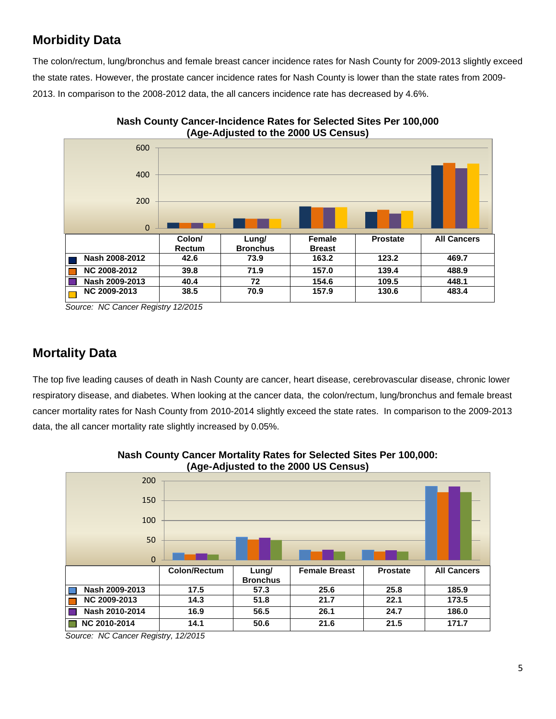# **Morbidity Data**

The colon/rectum, lung/bronchus and female breast cancer incidence rates for Nash County for 2009-2013 slightly exceed the state rates. However, the prostate cancer incidence rates for Nash County is lower than the state rates from 2009- 2013. In comparison to the 2008-2012 data, the all cancers incidence rate has decreased by 4.6%.





*Source: NC Cancer Registry 12/2015*

## **Mortality Data**

The top five leading causes of death in Nash County are cancer, heart disease, cerebrovascular disease, chronic lower respiratory disease, and diabetes. When looking at the cancer data, the colon/rectum, lung/bronchus and female breast cancer mortality rates for Nash County from 2010-2014 slightly exceed the state rates. In comparison to the 2009-2013 data, the all cancer mortality rate slightly increased by 0.05%.



**Nash County Cancer Mortality Rates for Selected Sites Per 100,000: (Age-Adjusted to the 2000 US Census)**

*Source: NC Cancer Registry, 12/2015*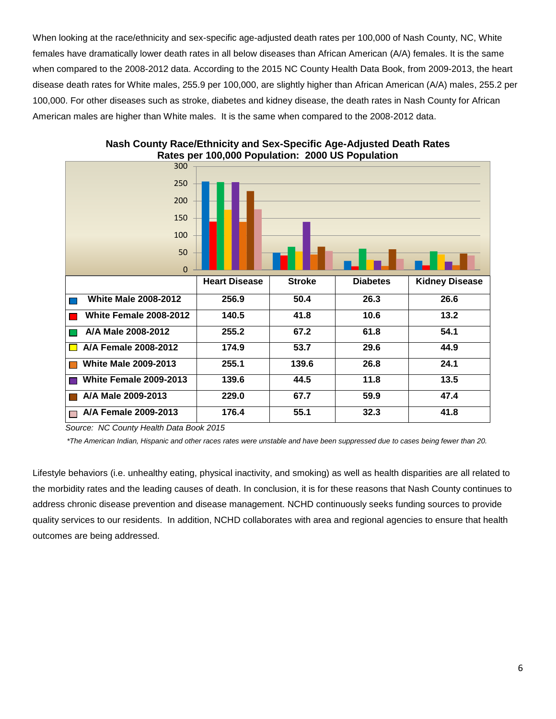When looking at the race/ethnicity and sex-specific age-adjusted death rates per 100,000 of Nash County, NC, White females have dramatically lower death rates in all below diseases than African American (A/A) females. It is the same when compared to the 2008-2012 data. According to the 2015 NC County Health Data Book, from 2009-2013, the heart disease death rates for White males, 255.9 per 100,000, are slightly higher than African American (A/A) males, 255.2 per 100,000. For other diseases such as stroke, diabetes and kidney disease, the death rates in Nash County for African American males are higher than White males. It is the same when compared to the 2008-2012 data.



**Nash County Race/Ethnicity and Sex-Specific Age-Adjusted Death Rates Rates per 100,000 Population: 2000 US Population**

*Source: NC County Health Data Book 2015*

 *\*The American Indian, Hispanic and other races rates were unstable and have been suppressed due to cases being fewer than 20.*

Lifestyle behaviors (i.e. unhealthy eating, physical inactivity, and smoking) as well as health disparities are all related to the morbidity rates and the leading causes of death. In conclusion, it is for these reasons that Nash County continues to address chronic disease prevention and disease management. NCHD continuously seeks funding sources to provide quality services to our residents. In addition, NCHD collaborates with area and regional agencies to ensure that health outcomes are being addressed.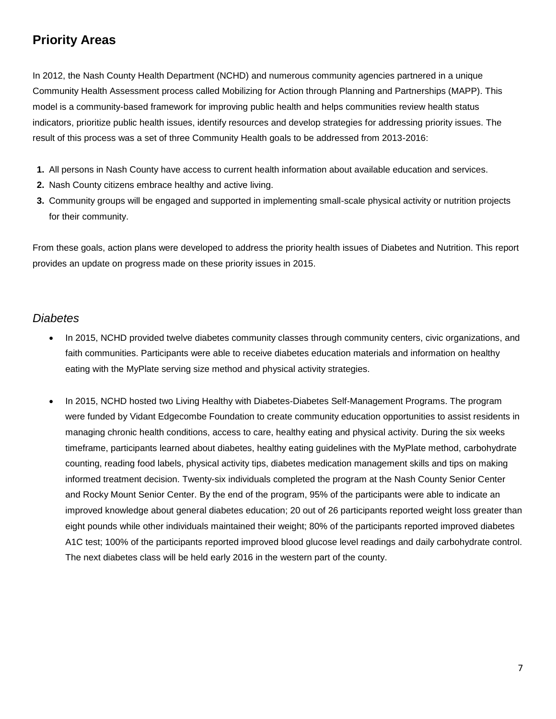# **Priority Areas**

In 2012, the Nash County Health Department (NCHD) and numerous community agencies partnered in a unique Community Health Assessment process called Mobilizing for Action through Planning and Partnerships (MAPP). This model is a community-based framework for improving public health and helps communities review health status indicators, prioritize public health issues, identify resources and develop strategies for addressing priority issues. The result of this process was a set of three Community Health goals to be addressed from 2013-2016:

- **1.** All persons in Nash County have access to current health information about available education and services.
- **2.** Nash County citizens embrace healthy and active living.
- **3.** Community groups will be engaged and supported in implementing small-scale physical activity or nutrition projects for their community.

From these goals, action plans were developed to address the priority health issues of Diabetes and Nutrition. This report provides an update on progress made on these priority issues in 2015.

#### *Diabetes*

- In 2015, NCHD provided twelve diabetes community classes through community centers, civic organizations, and faith communities. Participants were able to receive diabetes education materials and information on healthy eating with the MyPlate serving size method and physical activity strategies.
- In 2015, NCHD hosted two Living Healthy with Diabetes-Diabetes Self-Management Programs. The program were funded by Vidant Edgecombe Foundation to create community education opportunities to assist residents in managing chronic health conditions, access to care, healthy eating and physical activity. During the six weeks timeframe, participants learned about diabetes, healthy eating guidelines with the MyPlate method, carbohydrate counting, reading food labels, physical activity tips, diabetes medication management skills and tips on making informed treatment decision. Twenty-six individuals completed the program at the Nash County Senior Center and Rocky Mount Senior Center. By the end of the program, 95% of the participants were able to indicate an improved knowledge about general diabetes education; 20 out of 26 participants reported weight loss greater than eight pounds while other individuals maintained their weight; 80% of the participants reported improved diabetes A1C test; 100% of the participants reported improved blood glucose level readings and daily carbohydrate control. The next diabetes class will be held early 2016 in the western part of the county.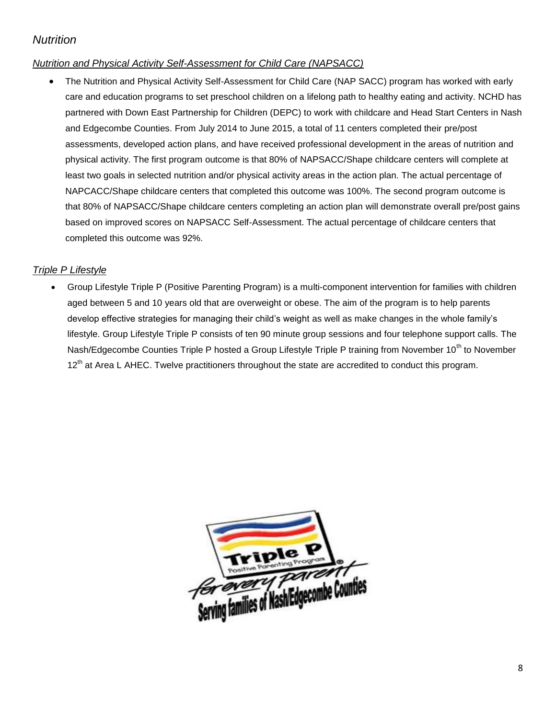## *Nutrition*

### *Nutrition and Physical Activity Self-Assessment for Child Care (NAPSACC)*

 The Nutrition and Physical Activity Self-Assessment for Child Care (NAP SACC) program has worked with early care and education programs to set preschool children on a lifelong path to healthy eating and activity. NCHD has partnered with Down East Partnership for Children (DEPC) to work with childcare and Head Start Centers in Nash and Edgecombe Counties. From July 2014 to June 2015, a total of 11 centers completed their pre/post assessments, developed action plans, and have received professional development in the areas of nutrition and physical activity. The first program outcome is that 80% of NAPSACC/Shape childcare centers will complete at least two goals in selected nutrition and/or physical activity areas in the action plan. The actual percentage of NAPCACC/Shape childcare centers that completed this outcome was 100%. The second program outcome is that 80% of NAPSACC/Shape childcare centers completing an action plan will demonstrate overall pre/post gains based on improved scores on NAPSACC Self-Assessment. The actual percentage of childcare centers that completed this outcome was 92%.

#### *Triple P Lifestyle*

 Group Lifestyle Triple P (Positive Parenting Program) is a multi-component intervention for families with children aged between 5 and 10 years old that are overweight or obese. The aim of the program is to help parents develop effective strategies for managing their child's weight as well as make changes in the whole family's lifestyle. Group Lifestyle Triple P consists of ten 90 minute group sessions and four telephone support calls. The Nash/Edgecombe Counties Triple P hosted a Group Lifestyle Triple P training from November 10<sup>th</sup> to November 12<sup>th</sup> at Area L AHEC. Twelve practitioners throughout the state are accredited to conduct this program.

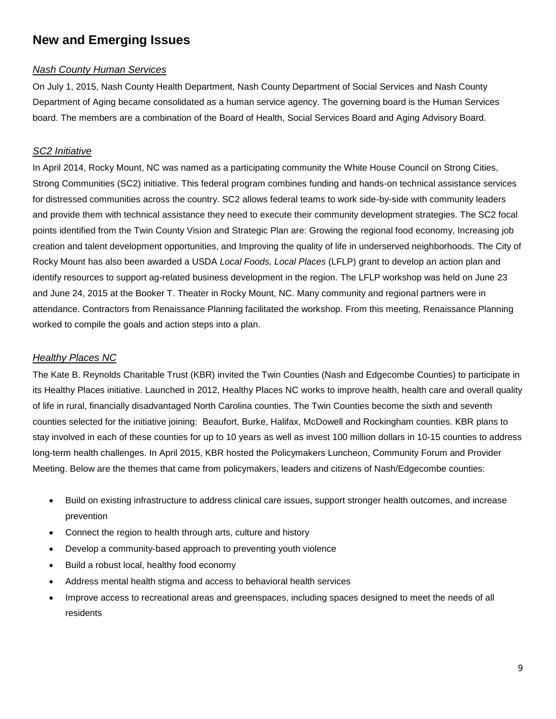## **New and Emerging Issues**

#### *Nash County Human Services*

On July 1, 2015, Nash County Health Department, Nash County Department of Social Services and Nash County Department of Aging became consolidated as a human service agency. The governing board is the Human Services board. The members are a combination of the Board of Health, Social Services Board and Aging Advisory Board.

#### *SC2 Initiative*

In April 2014, Rocky Mount, NC was named as a participating community the White House Council on Strong Cities, Strong Communities (SC2) initiative. This federal program combines funding and hands-on technical assistance services for distressed communities across the country. SC2 allows federal teams to work side-by-side with community leaders and provide them with technical assistance they need to execute their community development strategies. The SC2 focal points identified from the Twin County Vision and Strategic Plan are: Growing the regional food economy, Increasing job creation and talent development opportunities, and Improving the quality of life in underserved neighborhoods. The City of Rocky Mount has also been awarded a USDA *Local Foods, Local Places* (LFLP) grant to develop an action plan and identify resources to support ag-related business development in the region. The LFLP workshop was held on June 23 and June 24, 2015 at the Booker T. Theater in Rocky Mount, NC. Many community and regional partners were in attendance. Contractors from Renaissance Planning facilitated the workshop. From this meeting, Renaissance Planning worked to compile the goals and action steps into a plan.

#### *Healthy Places NC*

The Kate B. Reynolds Charitable Trust (KBR) invited the Twin Counties (Nash and Edgecombe Counties) to participate in its Healthy Places initiative. Launched in 2012, Healthy Places NC works to improve health, health care and overall quality of life in rural, financially disadvantaged North Carolina counties. The Twin Counties become the sixth and seventh counties selected for the initiative joining: Beaufort, Burke, Halifax, McDowell and Rockingham counties. KBR plans to stay involved in each of these counties for up to 10 years as well as invest 100 million dollars in 10-15 counties to address long-term health challenges. In April 2015, KBR hosted the Policymakers Luncheon, Community Forum and Provider Meeting. Below are the themes that came from policymakers, leaders and citizens of Nash/Edgecombe counties:

- Build on existing infrastructure to address clinical care issues, support stronger health outcomes, and increase prevention
- Connect the region to health through arts, culture and history
- Develop a community-based approach to preventing youth violence
- Build a robust local, healthy food economy
- Address mental health stigma and access to behavioral health services
- Improve access to recreational areas and greenspaces, including spaces designed to meet the needs of all residents